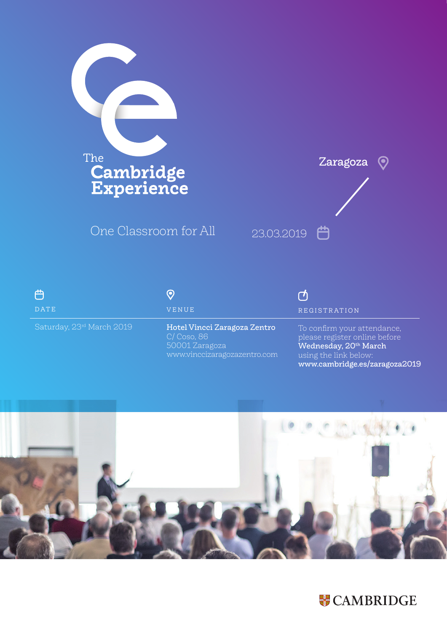

One Classroom for All



| ി                                     |
|---------------------------------------|
| DATE                                  |
| Saturday, 23 <sup>rd</sup> March 2019 |

## $\odot$ VENUE

Hotel Vincci Zaragoza Zentro C/ Coso, 86 50001 Zaragoza www.vinccizaragozazentro.com

## ඦ REGISTRATION

To confirm your attendance, please register online before Wednesday, 20<sup>th</sup> March using the link below: www.cambridge.es/zaragoza2019



## **W** CAMBRIDGE